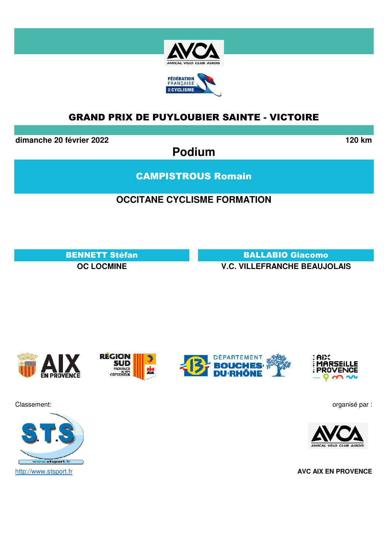

**dimanche 20 février 2022 120 km**

**Podium**

CAMPISTROUS Romain

## **OCCITANE CYCLISME FORMATION**

BENNETT Stéfan BALLABIO Giacomo **OC LOCMINE V.C. VILLEFRANCHE BEAUJOLAIS**





**RÉGION SUD**  $\frac{1}{N+1}$ PROVENCE<br>CÔTE D'AZUR





Classement: organisé par :



http://www.stsport.fr **AVC AIX EN PROVENCE**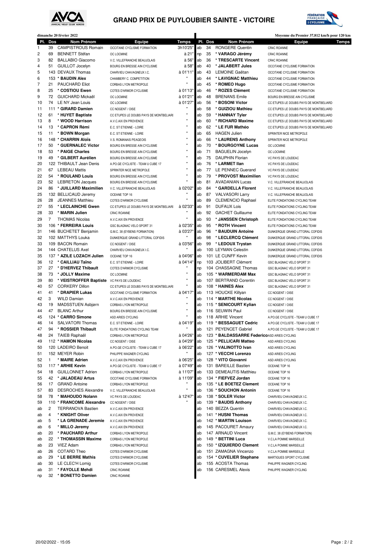



| dimanche 20 février 2022 |              |                                                  |                                                                  |                   |          |          | Moyenne du Premier 37,812 km/h pour 120 km     |                                                                                  |
|--------------------------|--------------|--------------------------------------------------|------------------------------------------------------------------|-------------------|----------|----------|------------------------------------------------|----------------------------------------------------------------------------------|
| PI.                      | Dos          | Nom Prénom                                       | <b>Equipe</b>                                                    | Temps             |          | PI. Dos  | Nom Prénom                                     | Equipe<br>Temps                                                                  |
| 1                        | 39<br>69     | <b>CAMPISTROUS Romain</b>                        | OCCITANE CYCLISME FORMATION                                      | 3h10'25'          | ab       | 34       | <b>RONGERE Quentin</b>                         | <b>CR4C ROANNE</b>                                                               |
| 2<br>3                   | 82           | <b>BENNETT Stéfan</b><br><b>BALLABIO Giacomo</b> | OC LOCMINE<br>V.C. VILLEFRANCHE BEAUJOLAIS                       | à 21<br>à 56"     | np<br>ab | 35<br>36 | * VARAGO Jérémy<br>* TRESCARTE Vincent         | CR4C ROANNE<br><b>CR4C ROANNE</b>                                                |
| 4                        | 51           | <b>GUILLOT Jocelyn</b>                           | BOURG EN BRESSE AIN CYCLISME                                     | à 58"             | ab       | 40       | * JALABERT Jules                               | OCCITANE CYCLISME FORMATION                                                      |
| 5                        |              | 143 DEVAUX Thomas                                | CHARVIEU CHAVAGNEUX I.C.                                         | à 01'11"          | ab       | 43       | LEMOINE Gaëtan                                 | OCCITANE CYCLISME FORMATION                                                      |
| 6                        |              | 153 * BAUDIN Alex                                | CHAMBERY C. COMPETITION                                          | n                 | ab       | 44       | * LAVIGNAC Matthieu                            | OCCITANE CYCLISME FORMATION                                                      |
| 7                        | 21           | PAUCHARD Eliot                                   | CORBAS LYON METROPOLE                                            |                   | ab       | 45       | * ROMEO Hugo                                   | OCCITANE CYCLISME FORMATION                                                      |
| 8                        | 25           | * COSTIOU Ewen                                   | COTES D'ARMOR CYCLISME                                           | à 01'13'          | ab       | 46       | * ROZES Clément                                | OCCITANE CYCLISME FORMATION                                                      |
| 9                        | 72           | GUICHARD Mickaël                                 | OC LOCMINE                                                       | à 01'21           | ab       | 48       | <b>BRENANS</b> Emile                           | BOURG EN BRESSE AIN CYCLISME                                                     |
| 10                       | 74           | LE NY Jean Louis                                 | OC LOCMINE                                                       | à 01'27"          | ab       | 56       | * BOSONI Victor                                | CC ETUPES LE DOUBS PAYS DE MONTBELIARD                                           |
| 11                       |              | 111 * GIRARD Damien                              | CC NOGENT / OISE                                                 | н                 | ab       | 58       | * GUIZIOU Mathieu                              | CC ETUPES LE DOUBS PAYS DE MONTBELIARD                                           |
| 12                       | 61           | * HUYET Baptiste                                 | CC ETUPES LE DOUBS PAYS DE MONTBELIARI                           | ×<br>$\mathbf{u}$ | ab       | 59       | * HANNAY Tyler                                 | CC ETUPES LE DOUBS PAYS DE MONTBELIARD                                           |
| 13<br>14                 | 8<br>13      | * WOOD Harrison<br>* CAPRON Rémi                 | A.V.C.AIX EN PROVENCE                                            | $\mathbf{u}$      | ab<br>ab | 60<br>62 | * RICHARD Maxime<br>* LE FUR Mathéo            | CC ETUPES LE DOUBS PAYS DE MONTBELIARD<br>CC ETUPES LE DOUBS PAYS DE MONTBELIARD |
| 15                       | 11           | * BOWN Morgan                                    | E.C. ST ETIENNE - LOIRE<br>E.C. ST ETIENNE - LOIRE               | $\mathbf{u}$      | ab       | 65       | <b>HAGEN Julien</b>                            | SPRINTER NICE METROPOLE                                                          |
| 16                       |              | 148 * CHARRIN Aloïs                              | V.S. ROMANAIS PEAGEOIS                                           | $\mathbf{u}$      | ab       | 66       | * LAURENS Anthony                              | SPRINTER NICE METROPOLE                                                          |
| 17                       | 50           | * GUERNALEC Victor                               | BOURG EN BRESSE AIN CYCLISME                                     | $\mathbf{u}$      | ab       | 70       | * BOURGOYNE Lucas                              | OC LOCMINE                                                                       |
| 18                       | 53           | * PAIGE Charles                                  | BOURG EN BRESSE AIN CYCLISME                                     |                   | ab       | 71       | <b>BAGUELIN Jocelyn</b>                        | OC LOCMINE                                                                       |
| 19                       | 49           | * GILBERT Aurélien                               | BOURG EN BRESSE AIN CYCLISME                                     | $\mathbf{u}$      | ab       | 75       | <b>DAUPHIN Florian</b>                         | VC PAYS DE LOUDEAC                                                               |
| 20                       |              | 122 THIBAULT Jean Denis                          | A.PO.GE CYCLISTE - TEAM U CUBE 17                                | ×                 | ab       | 76       | * LARMET IIan                                  | VC PAYS DE LOUDEAC                                                               |
| 21                       | 67           | <b>LEBEAU Mattis</b>                             | SPRINTER NICE METROPOLE                                          | $\mathbf{u}$      | ab       | 77       | <b>LE PENNEC Guerand</b>                       | VC PAYS DE LOUDEAC                                                               |
| 22                       | 54           | * ROULAND Louis                                  | BOURG EN BRESSE AIN CYCLISME                                     | Ħ                 | ab       | 79       | * PROVOST Maximilien                           | VC PAYS DE LOUDEAC                                                               |
| 23                       | 52           | <b>LEBRETON Jacques</b>                          | BOURG EN BRESSE AIN CYCLISME                                     | n                 | ab       | 81       | <b>AVADANIAN Lucas</b>                         | V.C. VILLEFRANCHE BEAUJOLAIS                                                     |
| 24                       | 86           | * JUILLARD Maximilien                            | V.C. VILLEFRANCHE BEAUJOLAIS                                     | à 02'02"<br>×     | ab       | 84       | * GARDELLA Florent                             | V.C. VILLEFRANCHE BEAUJOLAIS                                                     |
| 25                       |              | 132 BELLICAUD Jeremy<br><b>JEANNES Matthieu</b>  | OCEANE TOP 16                                                    | $\mathbf{u}$      | ab       | 87       | <b>VALVASORI Larry</b>                         | V.C. VILLEFRANCHE BEAUJOLAIS                                                     |
| 26<br>27                 | 28<br>55     | * LECLAINCHE Gwen                                | COTES D'ARMOR CYCLISME<br>CC ETUPES LE DOUBS PAYS DE MONTBELIARI | à 02'33'          | ab<br>ab | 89<br>91 | <b>CLEMENCIO Raphael</b><br><b>DUFAUX Lois</b> | ELITE FONDATIONS CYCLING TEAM                                                    |
| 28                       | 33           | * MARIN Julien                                   | CR4C ROANNE                                                      |                   | ab       | 92       | <b>GACHET Guillaume</b>                        | ELITE FONDATIONS CYCLING TEAM<br>ELITE FONDATIONS CYCLING TEAM                   |
| 29                       | 7            | <b>THOMAS Nicolas</b>                            | A.V.C.AIX EN PROVENCE                                            |                   | ab       | 93       | * JANSSEN Christoph                            | ELITE FONDATIONS CYCLING TEAM                                                    |
| 30                       |              | 106 * FERREIRA Louis                             | GSC BLAGNAC VELO SPORT 31                                        | à 02'35'          | ab       | 95       | * ROTH Vincent                                 | ELITE FONDATIONS CYCLING TEAM                                                    |
| 31                       |              | 146 BUCHETET Benjamin                            | G.M.C. 38 (EYBENS FORMATION)                                     | à 03'27"          | ab       | 96       | * BAUDUIN Antoine                              | DUNKERQUE GRAND LITTORAL COFIDIS                                                 |
| 32                       |              | 102 MATTHYS Louka                                | DUNKERQUE GRAND LITTORAL COFIDIS                                 |                   | ab       | 98       | * LECLERCQ Clément                             | DUNKERQUE GRAND LITTORAL COFIDIS                                                 |
| 33                       |              | 109 BACON Romain                                 | CC NOGENT / OISE                                                 | à 03'56"          | ab       | 99       | * LEDOUX Trystan                               | DUNKERQUE GRAND LITTORAL COFIDIS                                                 |
| 34                       |              | 144 CHATELUS Axel                                | CHARVIEU CHAVAGNEUX I.C.                                         |                   | ab       |          | 100 LEYMAN Celestin                            | DUNKERQUE GRAND LITTORAL COFIDIS                                                 |
| 35                       |              | 137 * AZILE LOZACH Julien                        | OCEANE TOP 16                                                    | à 04'06"          | ab       |          | 101 LE CUNFF Kevin                             | DUNKERQUE GRAND LITTORAL COFIDIS                                                 |
| 36                       | 12           | * CAILLIAU Taïno                                 | E.C. ST ETIENNE - LOIRE                                          | à 04'14"          | np       |          | 103 JOLIBERT Clément                           | GSC BLAGNAC VELO SPORT 31                                                        |
| 37                       | 27           | * D'HERVEZ Thibault                              | COTES D'ARMOR CYCLISME                                           | n<br>n            | np       |          | 104 CHASSAGNE Thomas                           | GSC BLAGNAC VELO SPORT 31                                                        |
| 38                       | 73           | * JOLLY Maxime                                   | OC LOCMINE                                                       | $\mathbf{u}$      | ab       |          | 105 * WARMERDAM Max                            | GSC BLAGNAC VELO SPORT 31                                                        |
| 39<br>40                 | 80<br>57     | * VEISTROFFER Baptiste<br><b>CORKERY Dillon</b>  | VC PAYS DE LOUDEAC<br>CC ETUPES LE DOUBS PAYS DE MONTBELIARI     | $\mathbf{u}$      | ab<br>ab |          | 107 BERTRAND Corentin<br>108 * HAINES Alex     | GSC BLAGNAC VELO SPORT 31<br><b>GSC BLAGNAC VELO SPORT 31</b>                    |
| 41                       | 41           | * DRAPIER Lukas                                  | OCCITANE CYCLISME FORMATION                                      | à 04'17"          | ab       |          | 113 HOUCKE Killyan                             | CC NOGENT / OISE                                                                 |
| 42                       | 3            | <b>WILD Damian</b>                               | A.V.C.AIX EN PROVENCE                                            |                   | ab       |          | 114 * MARTHE Nicolas                           | CC NOGENT / OISE                                                                 |
| 43                       | 19           | MADSSTUEN Asbiørn                                | CORBAS LYON METROPOLE                                            | $\mathbf{u}$      | ab       |          | 115 * SENICOURT Kylian                         | CC NOGENT / OISE                                                                 |
| 44                       | 47           | <b>BLANC Arthur</b>                              | BOURG EN BRESSE AIN CYCLISME                                     |                   | ab       |          | 116 SEUWIN Paul                                | CC NOGENT / OISE                                                                 |
| 45                       |              | 124 * CARRO Simone                               | ASD ARIES CYCLING                                                | Ħ                 | ab       |          | 118 ARHIE Vincent                              | A.PO.GE CYCLISTE - TEAM U CUBE 17                                                |
| 46                       | 14           | <b>SALVATORI Thomas</b>                          | E.C. ST ETIENNE - LOIRE                                          | à 04'19" ab       |          |          | 119 * BESSAGUET Cedric                         | A.PO.GE CYCLISTE - TEAM U CUBE 17                                                |
| 47                       | 94           | * ROSSIER Thibault                               | ELITE FONDATIONS CYCLING TEAM                                    | Ħ                 | ab       |          | 121 PEYENCET Gabriel                           | A.PO.GE CYCLISTE - TEAM U CUBE 17                                                |
| 48                       |              | 24 TAIEB Raphaël                                 | CORBAS LYON METROPOLE                                            | à 04'26"          | ab       |          | 123 * BALDASSARRE Federico ASD ARIES CYCLING   |                                                                                  |
| 49                       |              | 112 * HAMON Nicolas                              | CC NOGENT / OISE                                                 | à 04'29"          | ab       |          | 125 * PELLICARI Matteo                         | ASD ARIES CYCLING                                                                |
| 50                       |              | 120 LADEIRO Benoit                               | A.PO.GE CYCLISTE - TEAM U CUBE 17                                | à 06'22"          | ab       |          | 126 * VALINOTTO Ivan                           | ASD ARIES CYCLING                                                                |
| 51<br>52                 | $\mathbf{1}$ | 152 MEYER Robin<br>* MAIRE Adrien                | PHILIPPE WAGNER CYCLING<br>A.V.C.AIX EN PROVENCE                 | à 06'25"          | ab<br>ab |          | 127 * VECCHI Lorenzo<br>128 * VITO Giovanni    | ASD ARIES CYCLING<br>ASD ARIES CYCLING                                           |
| 53                       |              | 117 * ARHIE Kevin                                | A.PO.GE CYCLISTE - TEAM U CUBE 17                                | à 07'49"          | ab       |          | 131 BAREILLE Bastien                           | OCEANE TOP 16                                                                    |
| 54                       | 18           | <b>GUILLONNET Adrien</b>                         | CORBAS LYON METROPOLE                                            | à 11'07"          | ab       |          | 133 DEMEAUTIS Matthieu                         | OCEANE TOP 16                                                                    |
| 55                       | 42           | * JALADEAU Artus                                 | OCCITANE CYCLISME FORMATION                                      | à 11'09"          | ab       |          | 134 * FIEFVEZ Jordan                           | OCEANE TOP 16                                                                    |
| 56                       | 17           | <b>GRAND Antoine</b>                             | CORBAS LYON METROPOLE                                            |                   | ab       |          | 135 * LE BOETEZ Clement                        | OCEANE TOP 16                                                                    |
| 57                       | 83           | <b>DESROCHES Alexandre</b>                       | V.C. VILLEFRANCHE BEAUJOLAIS                                     | n                 | ab       |          | 136 * SOUCHON Antonin                          | OCEANE TOP 16                                                                    |
| 58                       | 78           | * MAHOUDO Nolann                                 | VC PAYS DE LOUDEAC                                               | à 12'47"          | ab       |          | 138 * SOLER Victor                             | CHARVIEU CHAVAGNEUX I.C.                                                         |
| 59                       | 110          | * FRANCOME Alexandre                             | CC NOGENT / OISE                                                 |                   | ab       |          | 139 * BAUDIS Anthony                           | CHARVIEU CHAVAGNEUX I.C.                                                         |
| ab                       | 2            | <b>TERRANOVA Bastien</b>                         | A.V.C.AIX EN PROVENCE                                            |                   | ab       |          | 140 BEZZA Quentin                              | CHARVIEU CHAVAGNEUX I.C.                                                         |
| ab                       | 4            | * KNIGHT Oliver                                  | A.V.C.AIX EN PROVENCE                                            |                   | ab       |          | 141 * HUSNI Thomas                             | CHARVIEU CHAVAGNEUX I.C.                                                         |
| ab                       | 5            | * LA GRENADE Jeremie                             | A.V.C.AIX EN PROVENCE                                            |                   | ab       |          | 142 * MARTIN Louison                           | CHARVIEU CHAVAGNEUX I.C.                                                         |
| ab                       | 6            | * MILLO Jeremy                                   | A.V.C.AIX EN PROVENCE                                            |                   | ab       |          | 145 PACOURET Amaury                            | CHARVIEU CHAVAGNEUX I.C.                                                         |
| ab                       | 20<br>22     | * PAUCHARD Arthur<br>* THOMASSIN Maxime          | CORBAS LYON METROPOLE                                            |                   | ab       |          | 147 ARNAUD Vincent<br>149 * BETTINI Luca       | G.M.C. 38 (EYBENS FORMATION)                                                     |
| ab<br>ab                 | 23           | VIEZ Adam                                        | CORBAS LYON METROPOLE<br>CORBAS LYON METROPOLE                   |                   | ab<br>ab |          | 150 * IZQUIERDO Clement                        | V.C.LA POMME MARSEILLE<br>V.C.LA POMME MARSEILLE                                 |
| ab                       | 26           | COTARD Theo                                      | COTES D'ARMOR CYCLISME                                           |                   | ab       |          | 151 ZAMAGNA Vincenzo                           | V.C.LA POMME MARSEILLE                                                           |
| ab                       | 29           | * LE BERRE Mathis                                | COTES D'ARMOR CYCLISME                                           |                   | ab       |          | 154 * CUVELIER Stephane                        | MARTIGUES SPORT CYCLISME                                                         |
| ab                       | 30           | LE CLEC'H Lomig                                  | COTES D'ARMOR CYCLISME                                           |                   | ab       |          | 155 ACOSTA Thomas                              | PHILIPPE WAGNER CYCLING                                                          |
| ab                       | 31           | * FAYOLLE Mehdi                                  | CR4C ROANNE                                                      |                   | ab       |          | 156 CARESMEL Alexis                            | PHILIPPE WAGNER CYCLING                                                          |
| np                       | 32           | * BONETTO Damien                                 | CR4C ROANNE                                                      |                   |          |          |                                                |                                                                                  |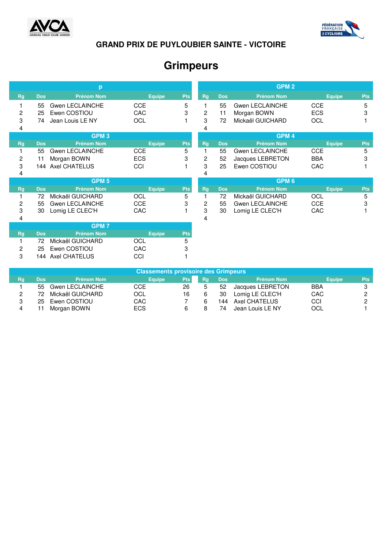



# **Grimpeurs**

|    | p                |                        |               |            |           | GPM <sub>2</sub> |                        |               |            |  |
|----|------------------|------------------------|---------------|------------|-----------|------------------|------------------------|---------------|------------|--|
| Rg | <b>Dos</b>       | <b>Prénom Nom</b>      | <b>Equipe</b> | <b>Pts</b> | <b>Rg</b> | <b>Dos</b>       | <b>Prénom Nom</b>      | <b>Equipe</b> | <b>Pts</b> |  |
|    | 55               | Gwen LECLAINCHE        | <b>CCE</b>    | 5          | 1         | 55               | Gwen LECLAINCHE        | <b>CCE</b>    | 5          |  |
| 2  | 25               | Ewen COSTIOU           | CAC           | 3          | 2         | 11               | Morgan BOWN            | <b>ECS</b>    | 3          |  |
| 3  | 74               | Jean Louis LE NY       | OCL           |            | 3         | 72               | Mickaël GUICHARD       | OCL           |            |  |
| 4  |                  |                        |               |            | 4         |                  |                        |               |            |  |
|    | GPM <sub>3</sub> |                        |               |            |           | GPM <sub>4</sub> |                        |               |            |  |
| Rg | <b>Dos</b>       | <b>Prénom Nom</b>      | <b>Equipe</b> | <b>Pts</b> | <b>Rg</b> | <b>Dos</b>       | <b>Prénom Nom</b>      | <b>Equipe</b> | <b>Pts</b> |  |
|    | 55               | <b>Gwen LECLAINCHE</b> | <b>CCE</b>    | 5          | 1         | 55               | Gwen LECLAINCHE        | <b>CCE</b>    | 5          |  |
| 2  | 11               | Morgan BOWN            | <b>ECS</b>    | 3          | 2         | 52               | Jacques LEBRETON       | <b>BBA</b>    | 3          |  |
| 3  |                  | 144 Axel CHATELUS      | CCI           |            | 3         | 25               | Ewen COSTIOU           | CAC           |            |  |
| 4  |                  |                        |               |            | 4         |                  |                        |               |            |  |
|    |                  |                        |               |            |           |                  |                        |               |            |  |
|    |                  | GPM <sub>5</sub>       |               |            |           |                  | GPM <sub>6</sub>       |               |            |  |
| Rg | <b>Dos</b>       | <b>Prénom Nom</b>      | <b>Equipe</b> | <b>Pts</b> | <b>Rg</b> | <b>Dos</b>       | <b>Prénom Nom</b>      | <b>Equipe</b> | <b>Pts</b> |  |
|    | 72               | Mickaël GUICHARD       | OCL           | 5          | 1         | 72               | Mickaël GUICHARD       | OCL           | 5          |  |
| 2  | 55               | <b>Gwen LECLAINCHE</b> | <b>CCE</b>    | 3          | 2         | 55               | <b>Gwen LECLAINCHE</b> | CCE           | 3          |  |
| 3  | 30               | Lomig LE CLEC'H        | CAC           |            | 3         | 30               | Lomig LE CLEC'H        | CAC           |            |  |
| 4  |                  |                        |               |            | 4         |                  |                        |               |            |  |
|    |                  | <b>GPM7</b>            |               |            |           |                  |                        |               |            |  |
| Rg | <b>Dos</b>       | <b>Prénom Nom</b>      | <b>Equipe</b> | <b>Pts</b> |           |                  |                        |               |            |  |
|    | 72               | Mickaël GUICHARD       | OCL           | 5          |           |                  |                        |               |            |  |
| 2  | 25               | Ewen COSTIOU           | CAC           | 3          |           |                  |                        |               |            |  |
| 3  | 144              | <b>Axel CHATELUS</b>   | CCI           |            |           |                  |                        |               |            |  |

| <b>Classements provisoire des Grimpeurs</b> |      |                    |               |            |    |            |                   |               |            |
|---------------------------------------------|------|--------------------|---------------|------------|----|------------|-------------------|---------------|------------|
| Rg                                          | Dos: | <b>Prénom Nom</b>  | <b>Equipe</b> | <b>Pts</b> | Ra | <b>Dos</b> | <b>Prénom Nom</b> | <b>Equipe</b> | <b>Pts</b> |
|                                             |      | 55 Gwen LECLAINCHE | CCE           | 26         |    | 52         | Jacques LEBRETON  | <b>BBA</b>    |            |
|                                             | 72   | Mickaël GUICHARD   | OCL           | 16         | 6  | 30         | Lomig LE CLEC'H   | CAC           |            |
|                                             | 25.  | Ewen COSTIOU       | CAC           |            |    | 144        | Axel CHATELUS     | CCI           |            |
|                                             |      | Morgan BOWN        | <b>ECS</b>    | 6          |    | 74         | Jean Louis LE NY  | OCL           |            |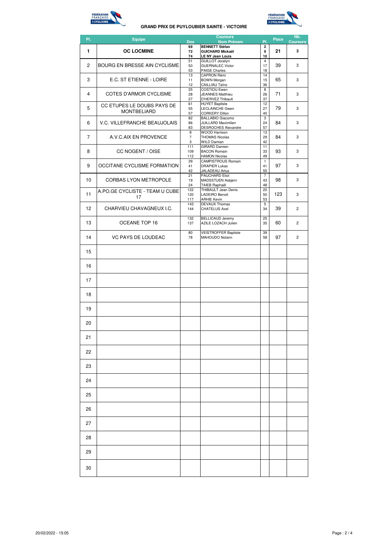



| PI.             | <b>Equipe</b>                                    | <b>Dos</b>               | <b>Coureurs</b><br><b>Nom Prénom</b>                                                                 | PI.                                | <b>Place</b> | Nb.<br><b>Coureurs</b> |
|-----------------|--------------------------------------------------|--------------------------|------------------------------------------------------------------------------------------------------|------------------------------------|--------------|------------------------|
| 1               | <b>OC LOCMINE</b>                                | 69<br>72<br>74           | <b>BENNETT Stéfan</b><br><b>GUICHARD Mickaël</b>                                                     | $\overline{\mathbf{2}}$<br>9<br>10 | 21           | 3                      |
| $\overline{2}$  | BOURG EN BRESSE AIN CYCLISME                     | 51<br>50<br>53           | <b>LE NY Jean Louis</b><br><b>GUILLOT Jocelyn</b><br><b>GUERNALEC Victor</b><br><b>PAIGE Charles</b> | $\overline{4}$<br>17<br>18         | 39           | 3                      |
| 3               | E.C. ST ETIENNE - LOIRE                          | 13<br>11<br>12           | <b>CAPRON Rémi</b><br><b>BOWN Morgan</b><br>CAILLIAU Taïno                                           | 14<br>15<br>36                     | 65           | 3                      |
| 4               | COTES D'ARMOR CYCLISME                           | 25<br>28<br>27           | <b>COSTIOU Ewen</b><br><b>JEANNES Matthieu</b><br>D'HERVEZ Thibault                                  | 8<br>26<br>37                      | 71           | 3                      |
| 5               | CC ETUPES LE DOUBS PAYS DE<br><b>MONTBELIARD</b> | 61<br>55<br>57           | <b>HUYET Baptiste</b><br>LECLAINCHE Gwen<br><b>CORKERY Dillon</b>                                    | 12<br>27<br>40                     | 79           | 3                      |
| 6               | V.C. VILLEFRANCHE BEAUJOLAIS                     | 82<br>86<br>83           | <b>BALLABIO Giacomo</b><br><b>JUILLARD Maximilien</b><br><b>DESROCHES Alexandre</b>                  | 3<br>24<br>57                      | 84           | 3                      |
| 7               | A.V.C.AIX EN PROVENCE                            | 8<br>$\overline{7}$<br>3 | <b>WOOD Harrison</b><br><b>THOMAS Nicolas</b><br><b>WILD Damian</b>                                  | 13<br>29<br>42                     | 84           | 3                      |
| 8               | CC NOGENT / OISE                                 | 111<br>109<br>112        | <b>GIRARD Damien</b><br><b>BACON Romain</b><br><b>HAMON Nicolas</b>                                  | 11<br>33<br>49                     | 93           | 3                      |
| 9               | OCCITANE CYCLISME FORMATION                      | 39<br>41<br>42           | <b>CAMPISTROUS Romain</b><br><b>DRAPIER Lukas</b><br>JALADEAU Artus                                  | $\overline{1}$<br>41<br>55         | 97           | 3                      |
| 10              | <b>CORBAS LYON METROPOLE</b>                     | 21<br>19<br>24           | <b>PAUCHARD Eliot</b><br>MADSSTUEN Asbjørn<br>TAIEB Raphaël                                          | 7<br>43<br>48                      | 98           | 3                      |
| 11              | A.PO.GE CYCLISTE - TEAM U CUBE<br>17             | 122<br>120<br>117        | THIBAULT Jean Denis<br><b>LADEIRO Benoit</b><br><b>ARHIE Kevin</b>                                   | 20<br>50<br>53                     | 123          | 3                      |
| 12 <sup>2</sup> | CHARVIEU CHAVAGNEUX I.C.                         | 143<br>144               | <b>DEVAUX Thomas</b><br><b>CHATELUS Axel</b>                                                         | 5<br>34                            | 39           | $\overline{c}$         |
| 13              | OCEANE TOP 16                                    | 132<br>137               | <b>BELLICAUD Jeremy</b><br>AZILE LOZACH Julien                                                       | 25<br>35                           | 60           | $\overline{c}$         |
| 14              | <b>VC PAYS DE LOUDEAC</b>                        | 80<br>78                 | <b>VEISTROFFER Baptiste</b><br>MAHOUDO Nolann                                                        | 39<br>58                           | 97           | $\overline{2}$         |
| 15              |                                                  |                          |                                                                                                      |                                    |              |                        |
| 16              |                                                  |                          |                                                                                                      |                                    |              |                        |
| 17              |                                                  |                          |                                                                                                      |                                    |              |                        |
| 18              |                                                  |                          |                                                                                                      |                                    |              |                        |
| 19              |                                                  |                          |                                                                                                      |                                    |              |                        |
| 20              |                                                  |                          |                                                                                                      |                                    |              |                        |
| 21              |                                                  |                          |                                                                                                      |                                    |              |                        |
| 22              |                                                  |                          |                                                                                                      |                                    |              |                        |
| 23              |                                                  |                          |                                                                                                      |                                    |              |                        |
| 24              |                                                  |                          |                                                                                                      |                                    |              |                        |
| 25              |                                                  |                          |                                                                                                      |                                    |              |                        |
| 26              |                                                  |                          |                                                                                                      |                                    |              |                        |
| 27              |                                                  |                          |                                                                                                      |                                    |              |                        |
| 28              |                                                  |                          |                                                                                                      |                                    |              |                        |
| 29              |                                                  |                          |                                                                                                      |                                    |              |                        |
| 30              |                                                  |                          |                                                                                                      |                                    |              |                        |
|                 |                                                  |                          |                                                                                                      |                                    |              |                        |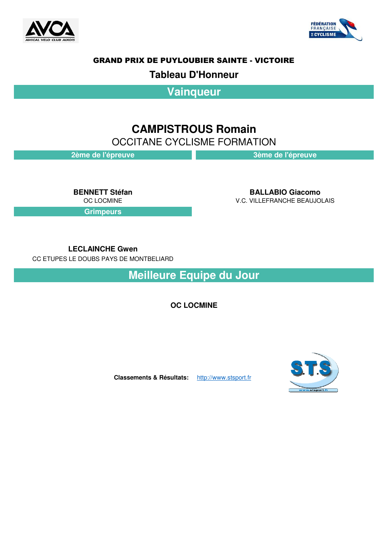



### **Tableau D'Honneur**

**Vainqueur**

## **CAMPISTROUS Romain**

OCCITANE CYCLISME FORMATION

**2ème de l'épreuve 3ème de l'épreuve**

**Grimpeurs**

**BENNETT Stéfan BALLABIO Giacomo V.C. VILLEFRANCHE BEAUJOLAIS** 

**LECLAINCHE Gwen**

CC ETUPES LE DOUBS PAYS DE MONTBELIARD

**Meilleure Equipe du Jour**

**OC LOCMINE**

**Classements & Résultats:** http://www.stsport.fr